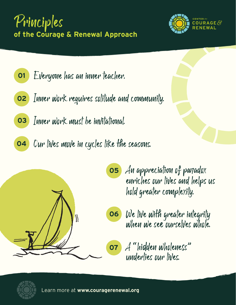





- **02** Inner work requires solitude and community.
- **03** Inner work must be invitational.
- **04** Our lives move in cycles like the seasons.



**05** An appreciation of paradox enriches our lives and helps us hold greater complexity.



**07** A "hidden wholeness" underlies our lives.